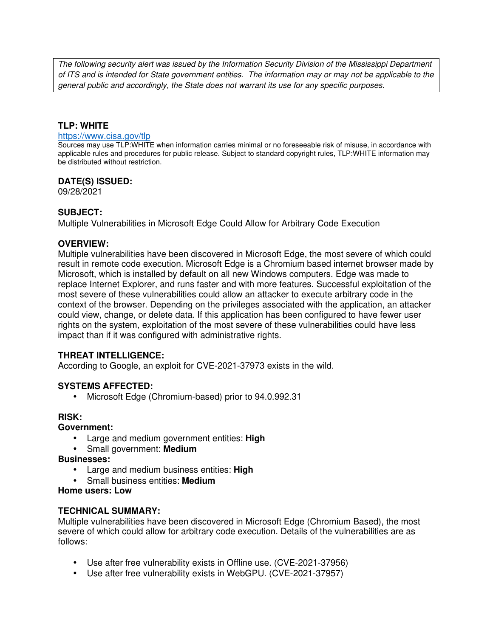The following security alert was issued by the Information Security Division of the Mississippi Department of ITS and is intended for State government entities. The information may or may not be applicable to the general public and accordingly, the State does not warrant its use for any specific purposes.

## **TLP: WHITE**

#### https://www.cisa.gov/tlp

Sources may use TLP:WHITE when information carries minimal or no foreseeable risk of misuse, in accordance with applicable rules and procedures for public release. Subject to standard copyright rules, TLP:WHITE information may be distributed without restriction.

### **DATE(S) ISSUED:**

09/28/2021

### **SUBJECT:**

Multiple Vulnerabilities in Microsoft Edge Could Allow for Arbitrary Code Execution

### **OVERVIEW:**

Multiple vulnerabilities have been discovered in Microsoft Edge, the most severe of which could result in remote code execution. Microsoft Edge is a Chromium based internet browser made by Microsoft, which is installed by default on all new Windows computers. Edge was made to replace Internet Explorer, and runs faster and with more features. Successful exploitation of the most severe of these vulnerabilities could allow an attacker to execute arbitrary code in the context of the browser. Depending on the privileges associated with the application, an attacker could view, change, or delete data. If this application has been configured to have fewer user rights on the system, exploitation of the most severe of these vulnerabilities could have less impact than if it was configured with administrative rights.

### **THREAT INTELLIGENCE:**

According to Google, an exploit for CVE-2021-37973 exists in the wild.

#### **SYSTEMS AFFECTED:**

• Microsoft Edge (Chromium-based) prior to 94.0.992.31

### **RISK:**

#### **Government:**

- Large and medium government entities: **High**
- Small government: **Medium**
- **Businesses:**
	- Large and medium business entities: **High**
	- Small business entities: **Medium**

#### **Home users: Low**

### **TECHNICAL SUMMARY:**

Multiple vulnerabilities have been discovered in Microsoft Edge (Chromium Based), the most severe of which could allow for arbitrary code execution. Details of the vulnerabilities are as follows:

- Use after free vulnerability exists in Offline use. (CVE-2021-37956)
- Use after free vulnerability exists in WebGPU. (CVE-2021-37957)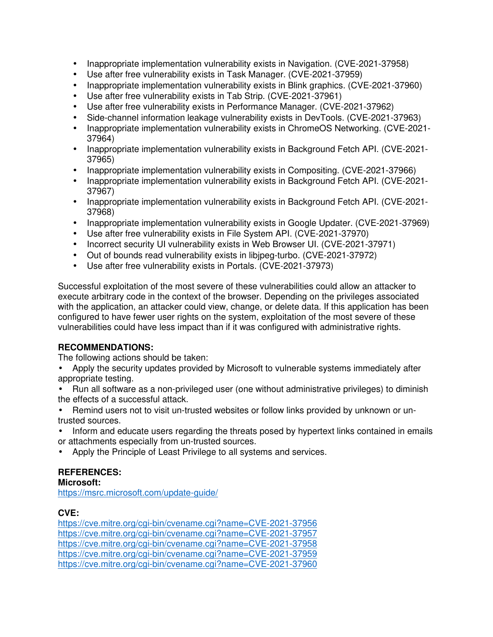- Inappropriate implementation vulnerability exists in Navigation. (CVE-2021-37958)
- Use after free vulnerability exists in Task Manager. (CVE-2021-37959)
- Inappropriate implementation vulnerability exists in Blink graphics. (CVE-2021-37960)
- Use after free vulnerability exists in Tab Strip. (CVE-2021-37961)
- Use after free vulnerability exists in Performance Manager. (CVE-2021-37962)
- Side-channel information leakage vulnerability exists in DevTools. (CVE-2021-37963)
- Inappropriate implementation vulnerability exists in ChromeOS Networking. (CVE-2021- 37964)
- Inappropriate implementation vulnerability exists in Background Fetch API. (CVE-2021- 37965)
- Inappropriate implementation vulnerability exists in Compositing. (CVE-2021-37966)
- Inappropriate implementation vulnerability exists in Background Fetch API. (CVE-2021- 37967)
- Inappropriate implementation vulnerability exists in Background Fetch API. (CVE-2021- 37968)
- Inappropriate implementation vulnerability exists in Google Updater. (CVE-2021-37969)
- Use after free vulnerability exists in File System API. (CVE-2021-37970)
- Incorrect security UI vulnerability exists in Web Browser UI. (CVE-2021-37971)
- Out of bounds read vulnerability exists in libjpeg-turbo. (CVE-2021-37972)
- Use after free vulnerability exists in Portals. (CVE-2021-37973)

Successful exploitation of the most severe of these vulnerabilities could allow an attacker to execute arbitrary code in the context of the browser. Depending on the privileges associated with the application, an attacker could view, change, or delete data. If this application has been configured to have fewer user rights on the system, exploitation of the most severe of these vulnerabilities could have less impact than if it was configured with administrative rights.

### **RECOMMENDATIONS:**

The following actions should be taken:

• Apply the security updates provided by Microsoft to vulnerable systems immediately after appropriate testing.

• Run all software as a non-privileged user (one without administrative privileges) to diminish the effects of a successful attack.

• Remind users not to visit un-trusted websites or follow links provided by unknown or untrusted sources.

- Inform and educate users regarding the threats posed by hypertext links contained in emails or attachments especially from un-trusted sources.
- Apply the Principle of Least Privilege to all systems and services.

### **REFERENCES:**

**Microsoft:**

https://msrc.microsoft.com/update-guide/

# **CVE:**

https://cve.mitre.org/cgi-bin/cvename.cgi?name=CVE-2021-37956 https://cve.mitre.org/cgi-bin/cvename.cgi?name=CVE-2021-37957 https://cve.mitre.org/cgi-bin/cvename.cgi?name=CVE-2021-37958 https://cve.mitre.org/cgi-bin/cvename.cgi?name=CVE-2021-37959 https://cve.mitre.org/cgi-bin/cvename.cgi?name=CVE-2021-37960